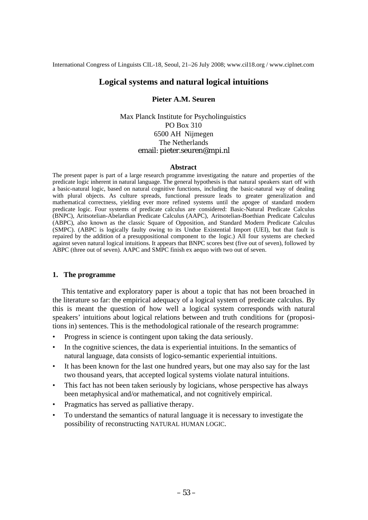International Congress of Linguists CIL-18, Seoul, 21–26 July 2008; www.cil18.org / www.ciplnet.com

# **Logical systems and natural logical intuitions**

### **Pieter A.M. Seuren**

## Max Planck Institute for Psycholinguistics PO Box 310 6500 AH Nijmegen The Netherlands email: [pieter.seuren@mpi.nl](mailto:pieter.seuren@mpi.nl)

#### **Abstract**

The present paper is part of a large research programme investigating the nature and properties of the predicate logic inherent in natural language. The general hypothesis is that natural speakers start off with a basic-natural logic, based on natural cognitive functions, including the basic-natural way of dealing with plural objects. As culture spreads, functional pressure leads to greater generalization and mathematical correctness, yielding ever more refined systems until the apogee of standard modern predicate logic. Four systems of predicate calculus are considered: Basic-Natural Predicate Calculus (BNPC), Aritsotelian-Abelardian Predicate Calculus (AAPC), Aritsotelian-Boethian Predicate Calculus (ABPC), also known as the classic Square of Opposition, and Standard Modern Predicate Calculus (SMPC). (ABPC is logically faulty owing to its Undue Existential Import (UEI), but that fault is repaired by the addition of a presuppositional component to the logic.) All four systems are checked against seven natural logical intuitions. It appears that BNPC scores best (five out of seven), followed by ABPC (three out of seven). AAPC and SMPC finish ex aequo with two out of seven.

#### **1. The programme**

 This tentative and exploratory paper is about a topic that has not been broached in the literature so far: the empirical adequacy of a logical system of predicate calculus. By this is meant the question of how well a logical system corresponds with natural speakers' intuitions about logical relations between and truth conditions for (propositions in) sentences. This is the methodological rationale of the research programme:

- Progress in science is contingent upon taking the data seriously.
- In the cognitive sciences, the data is experiential intuitions. In the semantics of natural language, data consists of logico-semantic experiential intuitions.
- It has been known for the last one hundred years, but one may also say for the last two thousand years, that accepted logical systems violate natural intuitions.
- This fact has not been taken seriously by logicians, whose perspective has always been metaphysical and/or mathematical, and not cognitively empirical.
- Pragmatics has served as palliative therapy.
- To understand the semantics of natural language it is necessary to investigate the possibility of reconstructing NATURAL HUMAN LOGIC.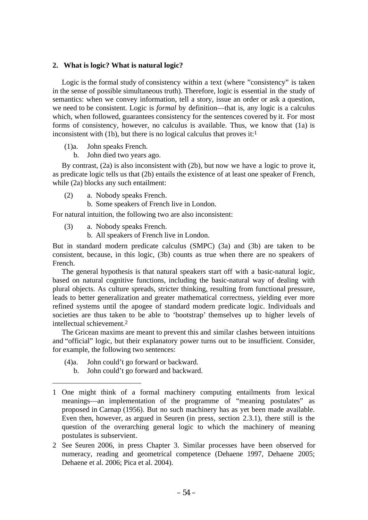## **2. What is logic? What is natural logic?**

 Logic is the formal study of consistency within a text (where "consistency" is taken in the sense of possible simultaneous truth). Therefore, logic is essential in the study of semantics: when we convey information, tell a story, issue an order or ask a question, we need to be consistent. Logic is *formal* by definition—that is, any logic is a calculus which, when followed, guarantees consistency for the sentences covered by it. For most forms of consistency, however, no calculus is available. Thus, we know that (1a) is inconsistent with (1b), but there is no logical calculus that proves it: $<sup>1</sup>$ </sup>

(1)a. John speaks French.

b. John died two years ago.

 By contrast, (2a) is also inconsistent with (2b), but now we have a logic to prove it, as predicate logic tells us that (2b) entails the existence of at least one speaker of French, while (2a) blocks any such entailment:

(2) a. Nobody speaks French.

b. Some speakers of French live in London.

For natural intuition, the following two are also inconsistent:

- (3) a. Nobody speaks French.
	- b. All speakers of French live in London.

But in standard modern predicate calculus (SMPC) (3a) and (3b) are taken to be consistent, because, in this logic, (3b) counts as true when there are no speakers of French.

 The general hypothesis is that natural speakers start off with a basic-natural logic, based on natural cognitive functions, including the basic-natural way of dealing with plural objects. As culture spreads, stricter thinking, resulting from functional pressure, leads to better generalization and greater mathematical correctness, yielding ever more refined systems until the apogee of standard modern predicate logic. Individuals and societies are thus taken to be able to 'bootstrap' themselves up to higher levels of intellectual schievement.2

 The Gricean maxims are meant to prevent this and similar clashes between intuitions and "official" logic, but their explanatory power turns out to be insufficient. Consider, for example, the following two sentences:

- (4)a. John could't go forward or backward.
	- b. John could't go forward and backward.

<sup>1</sup> One might think of a formal machinery computing entailments from lexical meanings—an implementation of the programme of "meaning postulates" as proposed in Carnap (1956). But no such machinery has as yet been made available. Even then, however, as argued in Seuren (in press, section 2.3.1), there still is the question of the overarching general logic to which the machinery of meaning postulates is subservient.

<sup>2</sup> See Seuren 2006, in press Chapter 3. Similar processes have been observed for numeracy, reading and geometrical competence (Dehaene 1997, Dehaene 2005; Dehaene et al. 2006; Pica et al. 2004).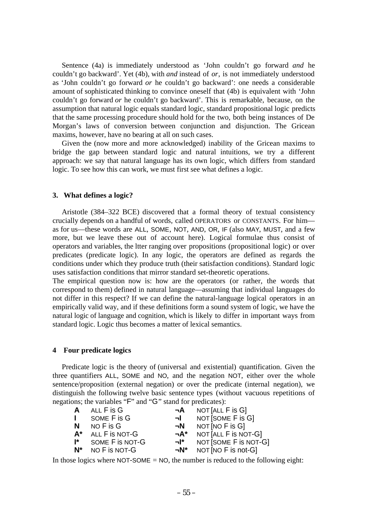Sentence (4a) is immediately understood as 'John couldn't go forward *and* he couldn't go backward'. Yet (4b), with *and* instead of *or*, is not immediately understood as 'John couldn't go forward *or* he couldn't go backward': one needs a considerable amount of sophisticated thinking to convince oneself that (4b) is equivalent with 'John couldn't go forward *or* he couldn't go backward'. This is remarkable, because, on the assumption that natural logic equals standard logic, standard propositional logic predicts that the same processing procedure should hold for the two, both being instances of De Morgan's laws of conversion between conjunction and disjunction. The Gricean maxims, however, have no bearing at all on such cases.

 Given the (now more and more acknowledged) inability of the Gricean maxims to bridge the gap between standard logic and natural intuitions, we try a different approach: we say that natural language has its own logic, which differs from standard logic. To see how this can work, we must first see what defines a logic.

#### **3. What defines a logic?**

 Aristotle (384–322 BCE) discovered that a formal theory of textual consistency crucially depends on a handful of words, called OPERATORS or CONSTANTS. For him as for us—these words are ALL, SOME, NOT, AND, OR, IF (also MAY, MUST, and a few more, but we leave these out of account here). Logical formulae thus consist of operators and variables, the ltter ranging over propositions (propositional logic) or over predicates (predicate logic). In any logic, the operators are defined as regards the conditions under which they produce truth (their satisfaction conditions). Standard logic uses satisfaction conditions that mirror standard set-theoretic operations.

The empirical question now is: how are the operators (or rather, the words that correspond to them) defined in natural language—assuming that individual languages do not differ in this respect? If we can define the natural-language logical operators in an empirically valid way, and if these definitions form a sound system of logic, we have the natural logic of language and cognition, which is likely to differ in important ways from standard logic. Logic thus becomes a matter of lexical semantics.

#### **4 Four predicate logics**

 Predicate logic is the theory of (universal and existential) quantification. Given the three quantifiers ALL, SOME and NO, and the negation NOT, either over the whole sentence/proposition (external negation) or over the predicate (internal negation), we distinguish the following twelve basic sentence types (without vacuous repetitions of negations; the variables "F" and "G" stand for predicates):

| A              | ALL F is G      | ¬А         | NOT [ALL F is G]      |
|----------------|-----------------|------------|-----------------------|
| $\mathbf{L}$   | SOME F is G     | ыL.        | NOT [SOME F is G]     |
| N              | $NOF$ is $G$    | ⊣N         | NOT[NOFISG]           |
| $A^*$          | ALL F is NOT-G  | ¬A*        | NOT [ALL F is NOT-G]  |
| $\mathbf{I}^*$ | SOME F is NOT-G | −l*        | NOT [SOME F is NOT-G] |
| $N^*$          | NO F is NOT-G   | $\neg N^*$ | NOT [NO $F$ is not-G] |

In those logics where  $NOT-SOME = NO$ , the number is reduced to the following eight: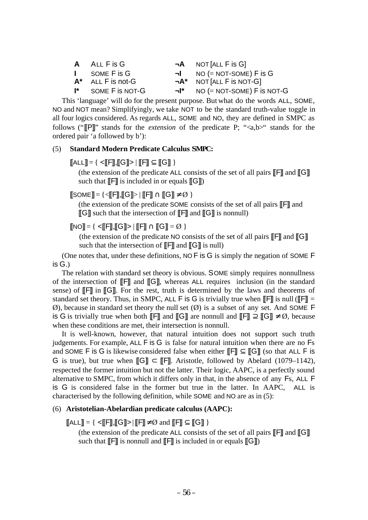| <b>A</b> ALL F is G   |     | $\neg A$ NOT [ALL F is G]       |
|-----------------------|-----|---------------------------------|
| I SOME F is G         |     | $\neg$ NO (= NOT-SOME) F is G   |
| $A^*$ ALL F is not-G  |     | $\neg A^*$ NOT [ALL F is NOT-G] |
| $I^*$ SOME F is NOT-G | ¬I* | $NO (= NOT-SOME) F$ is NOT-G    |

 This 'language' will do for the present purpose. But what do the words ALL, SOME, NO and NOT mean? Simplifyingly, we take NOT to be the standard truth-value toggle in all four logics considered. As regards ALL, SOME and NO, they are defined in SMPC as follows ("**[P]**" stands for the *extension* of the predicate P; "<a,b>" stands for the ordered pair 'a followed by b'):

### (5) **Standard Modern Predicate Calculus SMPC:**

## $[[ALL]] = \{ \prec [[F]], [[G]]> | [[F]] \subseteq [[G]] \}$

(the extension of the predicate ALL consists of the set of all pairs  $\llbracket \mathsf{F} \rrbracket$  and  $\llbracket \mathsf{G} \rrbracket$ such that  $\llbracket \mathsf{F} \rrbracket$  is included in or equals  $\llbracket \mathsf{G} \rrbracket$ )

## $[[SOME]] = \{\langle \langle \langle F|, [[G]] \rangle \mid [[F]] \cap [[G]] \neq \emptyset \rangle \}$

(the extension of the predicate SOME consists of the set of all pairs [[F]] and [[G]] such that the intersection of [[F]] and [[G]] is nonnull)

 $[[NO]] = { <[[F]], [[G]] > | [[F]] \cap [[G]] = \emptyset }$ 

(the extension of the predicate NO consists of the set of all pairs  $\llbracket \mathsf{F} \rrbracket$  and  $\llbracket \mathsf{G} \rrbracket$ such that the intersection of  $\llbracket \mathsf{F} \rrbracket$  and  $\llbracket \mathsf{G} \rrbracket$  is null)

 (One notes that, under these definitions, NO F is G is simply the negation of SOME F is G.)

 The relation with standard set theory is obvious. SOME simply requires nonnullness of the intersection of [[F]] and [[G]], whereas ALL requires inclusion (in the standard sense) of  $\llbracket \mathsf{F} \rrbracket$  in  $\llbracket \mathsf{G} \rrbracket$ . For the rest, truth is determined by the laws and theorems of standard set theory. Thus, in SMPC, ALL F is G is trivially true when  $\llbracket \mathbf{F} \rrbracket$  is null ( $\llbracket \mathbf{F} \rrbracket$  =  $\emptyset$ ), because in standard set theory the null set  $(\emptyset)$  is a subset of any set. And SOME F is G is trivially true when both [[F]] and [[G]] are nonnull and  $[[F]] \supseteq [[G]] \neq \emptyset$ , because when these conditions are met, their intersection is nonnull.

 It is well-known, however, that natural intuition does not support such truth judgements. For example, ALL F is G is false for natural intuition when there are no Fs and SOME F is G is likewise considered false when either  $[\![F]\!] \subseteq [\![G]\!]$  (so that ALL F is G is true), but true when  $[\![G]\!] \subset [\![F]\!]$ . Aristotle, followed by Abelard (1079–1142), respected the former intuition but not the latter. Their logic, AAPC, is a perfectly sound alternative to SMPC, from which it differs only in that, in the absence of any Fs, ALL F is G is considered false in the former but true in the latter. In AAPC, ALL is characterised by the following definition, while SOME and NO are as in (5):

#### (6) **Aristotelian-Abelardian predicate calculus (AAPC):**

## $[\text{ALL}] = \{ \langle \mathbb{F}, \mathbb{F}, \mathbb{G} \rangle \rangle | [\mathbb{F}] \neq \emptyset \text{ and } [\mathbb{F}] \subseteq [\mathbb{G}] \}$

(the extension of the predicate ALL consists of the set of all pairs  $\llbracket \mathsf{F} \rrbracket$  and  $\llbracket \mathsf{G} \rrbracket$ such that  $\llbracket \mathsf{F} \rrbracket$  is nonnull and  $\llbracket \mathsf{F} \rrbracket$  is included in or equals  $\llbracket \mathsf{G} \rrbracket$ )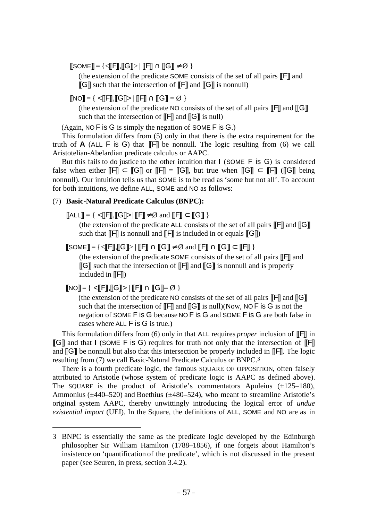$[[SOME]] = \{\langle \langle \langle F|, [[G]] \rangle \mid [[F]] \cap [[G]] \neq \emptyset \rangle \}$ 

(the extension of the predicate SOME consists of the set of all pairs [[F]] and  $\llbracket G \rrbracket$  such that the intersection of  $\llbracket \text{F} \rrbracket$  and  $\llbracket G \rrbracket$  is nonnull)

 $\overline{[N}\Omega]=\{ \langle \overline{[F]}, \overline{[G]} \rangle | \overline{[F]}, \cap \overline{[G]} \rangle = \emptyset \}$ 

(the extension of the predicate NO consists of the set of all pairs  $\llbracket \mathsf{F} \rrbracket$  and  $\llbracket \mathsf{G} \rrbracket$ such that the intersection of  $\llbracket \mathsf{F} \rrbracket$  and  $\llbracket \mathsf{G} \rrbracket$  is null)

(Again, NO F is G is simply the negation of SOME F is G.)

 This formulation differs from (5) only in that there is the extra requirement for the truth of  $\bf{A}$  (ALL  $\bf{F}$  is  $\bf{G}$ ) that  $\bf{F}$  be nonnull. The logic resulting from (6) we call Aristotelian-Abelardian predicate calculus or AAPC.

 But this fails to do justice to the other intuition that **I** (SOME F is G) is considered false when either  $\llbracket \mathsf{F} \rrbracket \subset \llbracket \mathsf{G} \rrbracket$  or  $\llbracket \mathsf{F} \rrbracket = \llbracket \mathsf{G} \rrbracket$ , but true when  $\llbracket \mathsf{G} \rrbracket \subset \llbracket \mathsf{F} \rrbracket$  ( $\llbracket \mathsf{G} \rrbracket$  being nonnull). Our intuition tells us that SOME is to be read as 'some but not all'. To account for both intuitions, we define ALL, SOME and NO as follows:

## (7) **Basic-Natural Predicate Calculus (BNPC):**

 $[\![\mathsf{ALL}]\!] = \{\ \mathsf{&}\!\!\mathsf{[F]}\!\!\}, [\![\mathsf{G}]\!] \mathsf{&}\!\!\} | [\![\mathsf{F}]\!] \neq \emptyset \text{ and } [\![\mathsf{F}]\!] \subset [\![\mathsf{G}]\!] \ \}$ 

(the extension of the predicate ALL consists of the set of all pairs  $\llbracket \mathsf{F} \rrbracket$  and  $\llbracket \mathsf{G} \rrbracket$ such that  $\llbracket \mathsf{F} \rrbracket$  is nonnull and  $\llbracket \mathsf{F} \rrbracket$  is included in or equals  $\llbracket \mathsf{G} \rrbracket$ )

 $[[SOME]] = {\langle \langle \langle \langle F|, [[G]] \rangle \rangle | \langle \langle F| \rangle \cap [[G]] \neq \emptyset \text{ and } [[F]] \cap [[G]] \subset [[F]] \rangle}$ 

(the extension of the predicate SOME consists of the set of all pairs [[F]] and  $\llbracket G \rrbracket$  such that the intersection of  $\llbracket F \rrbracket$  and  $\llbracket G \rrbracket$  is nonnull and is properly included in  $\llbracket \mathsf{F} \rrbracket$ )

# $\|NO\| = \{ \langle \mathsf{F} \mathsf{F} \mathsf{F} \mathsf{F} \mathsf{F} \mathsf{F} \mathsf{F} \mathsf{F} \mathsf{F} \mathsf{F} \mathsf{F} \mathsf{F} \mathsf{F} \mathsf{F} \mathsf{F} \mathsf{F} \mathsf{F} \mathsf{F} \mathsf{F} \mathsf{F} \mathsf{F} \mathsf{F} \mathsf{F} \mathsf{F} \mathsf{F} \mathsf{F} \mathsf{F} \mathsf{F} \mathsf{F} \mathsf{F} \mathsf{F} \mathsf{F} \mathsf{F} \mathsf{F} \mathsf{F}$

(the extension of the predicate NO consists of the set of all pairs  $\llbracket \mathsf{F} \rrbracket$  and  $\llbracket \mathsf{G} \rrbracket$ such that the intersection of  $\llbracket \mathsf{F} \rrbracket$  and  $\llbracket \mathsf{G} \rrbracket$  is null)(Now, NO F is G is not the negation of SOME F is G because NO F is G and SOME F is G are both false in cases where ALL F is G is true.)

 This formulation differs from (6) only in that ALL requires *proper* inclusion of [[F]] in [[G]] and that **I** (SOME F is G) requires for truth not only that the intersection of [[F]] and  $\llbracket \mathbf{G} \rrbracket$  be nonnull but also that this intersection be properly included in  $\llbracket \mathbf{F} \rrbracket$ . The logic resulting from (7) we call Basic-Natural Predicate Calculus or BNPC.3

 There is a fourth predicate logic, the famous SQUARE OF OPPOSITION, often falsely attributed to Aristotle (whose system of predicate logic is AAPC as defined above). The SQUARE is the product of Aristotle's commentators Apuleius  $(\pm 125-180)$ , Ammonius ( $\pm$ 440–520) and Boethius ( $\pm$ 480–524), who meant to streamline Aristotle's original system AAPC, thereby unwittingly introducing the logical error of *undue existential import* (UEI). In the Square, the definitions of ALL, SOME and NO are as in

<sup>3</sup> BNPC is essentially the same as the predicate logic developed by the Edinburgh philosopher Sir William Hamilton (1788–1856), if one forgets about Hamilton's insistence on 'quantification of the predicate', which is not discussed in the present paper (see Seuren, in press, section 3.4.2).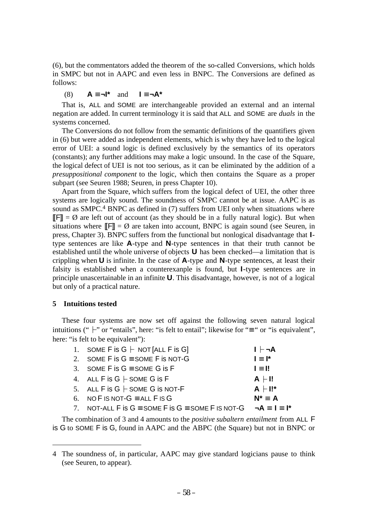(6), but the commentators added the theorem of the so-called Conversions, which holds in SMPC but not in AAPC and even less in BNPC. The Conversions are defined as follows:

(8) **A** ≡ **¬I\*** and **I** ≡ **¬A\***

 That is, ALL and SOME are interchangeable provided an external and an internal negation are added. In current terminology it is said that ALL and SOME are *duals* in the systems concerned.

 The Conversions do not follow from the semantic definitions of the quantifiers given in (6) but were added as independent elements, which is why they have led to the logical error of UEI: a sound logic is defined exclusively by the semantics of its operators (constants); any further additions may make a logic unsound. In the case of the Square, the logical defect of UEI is not too serious, as it can be eliminated by the addition of a *presuppositional component* to the logic, which then contains the Square as a proper subpart (see Seuren 1988; Seuren, in press Chapter 10).

 Apart from the Square, which suffers from the logical defect of UEI, the other three systems are logically sound. The soundness of SMPC cannot be at issue. AAPC is as sound as SMPC.<sup>4</sup> BNPC as defined in (7) suffers from UEI only when situations where  $\mathbb{F}$ ] =  $\emptyset$  are left out of account (as they should be in a fully natural logic). But when situations where  $\mathbb{F}$ ] =  $\emptyset$  are taken into account, BNPC is again sound (see Seuren, in press, Chapter 3). BNPC suffers from the functional but nonlogical disadvantage that **I**type sentences are like **A**-type and **N**-type sentences in that their truth cannot be established until the whole universe of objects **U** has been checked—a limitation that is crippling when **U** is infinite. In the case of **A**-type and **N**-type sentences, at least their falsity is established when a counterexanple is found, but **I**-type sentences are in principle unascertainable in an infinite **U**. This disadvantage, however, is not of a logical but only of a practical nature.

## **5 Intuitions tested**

 These four systems are now set off against the following seven natural logical intuitions (" $\vdash$ " or "entails", here: "is felt to entail"; likewise for "≡ " or "is equivalent", here: "is felt to be equivalent"):

| 1. SOME F is $G \vdash$ NOT [ALL F is G]                                 | $I \vdash \neg A$ |
|--------------------------------------------------------------------------|-------------------|
| 2. SOME F is $G \equiv$ SOME F is NOT-G                                  | $I \equiv I^*$    |
| 3. SOME F is $G \equiv$ SOME G is F                                      | $I \equiv II$     |
| 4. ALL F is $G \vdash$ SOME G is F                                       | $A$ $\vdash$ I!   |
| 5. ALL F is $G \vdash$ SOME G is NOT-F                                   | $A \vdash II^*$   |
| 6. NO F IS NOT-G $\equiv$ ALL F IS G                                     | $N^* \equiv A$    |
| 7. NOT-ALL F is $G =$ SOME F is $G =$ SOME F IS NOT-G $\neg A = I = I^*$ |                   |

 The combination of 3 and 4 amounts to the *positive subaltern entailment* from ALL F is G to SOME F is G, found in AAPC and the ABPC (the Square) but not in BNPC or

<sup>4</sup> The soundness of, in particular, AAPC may give standard logicians pause to think (see Seuren, to appear).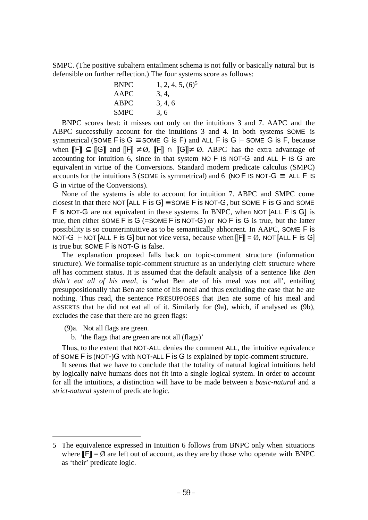SMPC. (The positive subaltern entailment schema is not fully or basically natural but is defensible on further reflection.) The four systems score as follows:

| <b>BNPC</b> | $1, 2, 4, 5, (6)^5$ |
|-------------|---------------------|
| AAPC        | 3, 4,               |
| ABPC        | 3, 4, 6             |
| SMPC        | 3, 6                |

 BNPC scores best: it misses out only on the intuitions 3 and 7. AAPC and the ABPC successfully account for the intuitions 3 and 4. In both systems SOME is symmetrical (SOME F is  $G \equiv$  SOME G is F) and ALL F is  $G \vdash$  SOME G is F, because when  $\mathbb{F}$   $\subseteq$   $\mathbb{F}$  and  $\mathbb{F}$   $\neq$  Ø,  $\mathbb{F}$   $\cap$   $\mathbb{F}$   $\Rightarrow$   $\emptyset$ . ABPC has the extra advantage of accounting for intuition 6, since in that system NO F IS NOT-G and ALL F IS G are equivalent in virtue of the Conversions. Standard modern predicate calculus (SMPC) accounts for the intuitions 3 (SOME is symmetrical) and 6 (NO F IS NOT-G  $\equiv$  ALL F IS G in virtue of the Conversions).

 None of the systems is able to account for intuition 7. ABPC and SMPC come closest in that there NOT [ALL F is G]  $\equiv$  SOME F is NOT-G, but SOME F is G and SOME F is NOT-G are not equivalent in these systems. In BNPC, when NOT [ALL F is G] is true, then either SOME F is G  $(=$  SOME F is NOT-G) or NO F is G is true, but the latter possibility is so counterintuitive as to be semantically abhorrent. In AAPC, SOME F is NOT-G  $\vdash$  NOT [ALL F is G] but not vice versa, because when  $\mathbb{F}$ ] = Ø, NOT [ALL F is G] is true but SOME F is NOT-G is false.

 The explanation proposed falls back on topic-comment structure (information structure). We formalise topic-comment structure as an underlying cleft structure where *all* has comment status. It is assumed that the default analysis of a sentence like *Ben didn't eat all of his meal*, is 'what Ben ate of his meal was not all', entailing presuppositionally that Ben ate some of his meal and thus excluding the case that he ate nothing. Thus read, the sentence PRESUPPOSES that Ben ate some of his meal and ASSERTS that he did not eat all of it. Similarly for (9a), which, if analysed as (9b), excludes the case that there are no green flags:

(9)a. Not all flags are green.

b. 'the flags that are green are not all (flags)'

 Thus, to the extent that NOT-ALL denies the comment ALL, the intuitive equivalence of SOME F is (NOT-)G with NOT-ALL F is G is explained by topic-comment structure.

 It seems that we have to conclude that the totality of natural logical intuitions held by logically naive humans does not fit into a single logical system. In order to account for all the intuitions, a distinction will have to be made between a *basic-natural* and a *strict-natural* system of predicate logic.

<sup>5</sup> The equivalence expressed in Intuition 6 follows from BNPC only when situations where  $\mathbb{F}$  =  $\emptyset$  are left out of account, as they are by those who operate with BNPC as 'their' predicate logic.